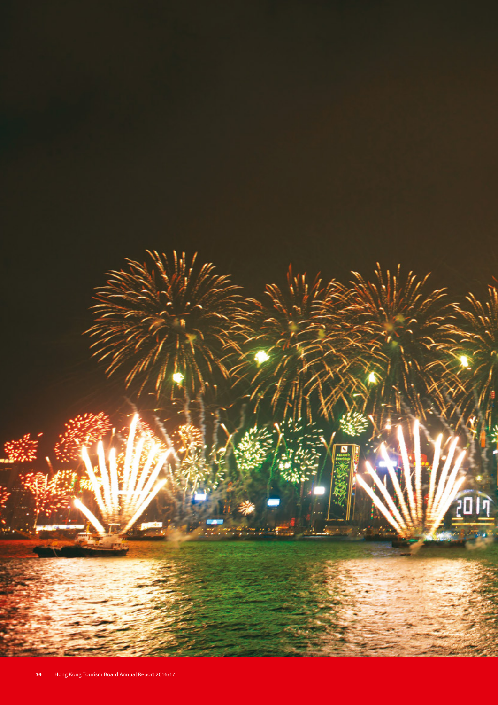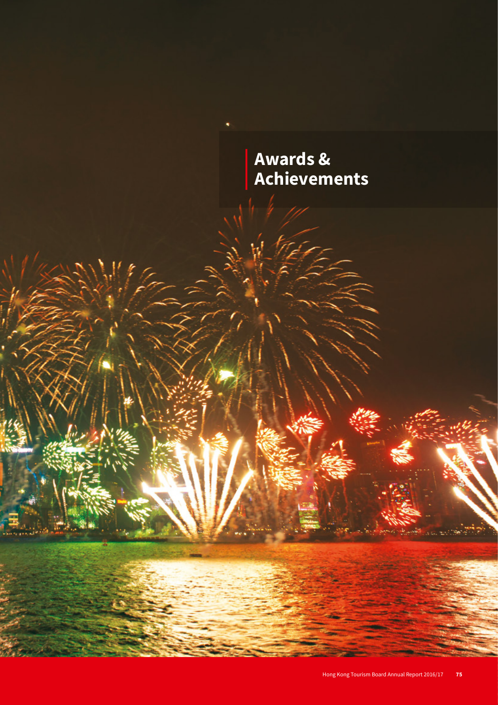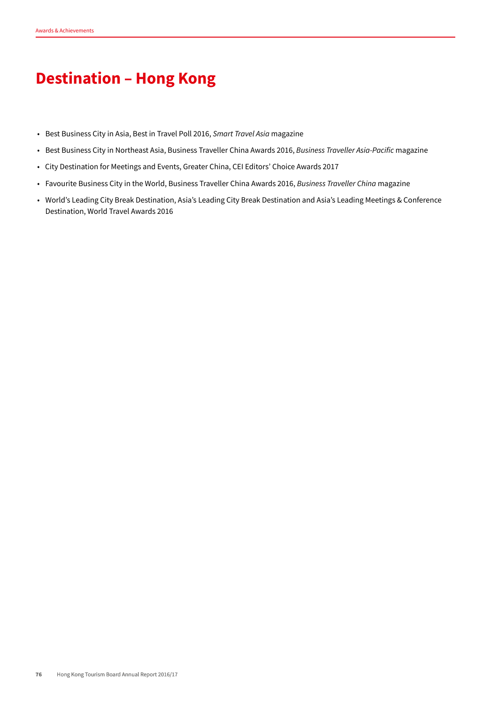# **Destination – Hong Kong**

- Best Business City in Asia, Best in Travel Poll 2016, *Smart Travel Asia* magazine
- Best Business City in Northeast Asia, Business Traveller China Awards 2016, *Business Traveller Asia-Pacific* magazine
- City Destination for Meetings and Events, Greater China, CEI Editors' Choice Awards 2017
- Favourite Business City in the World, Business Traveller China Awards 2016, *Business Traveller China* magazine
- World's Leading City Break Destination, Asia's Leading City Break Destination and Asia's Leading Meetings & Conference Destination, World Travel Awards 2016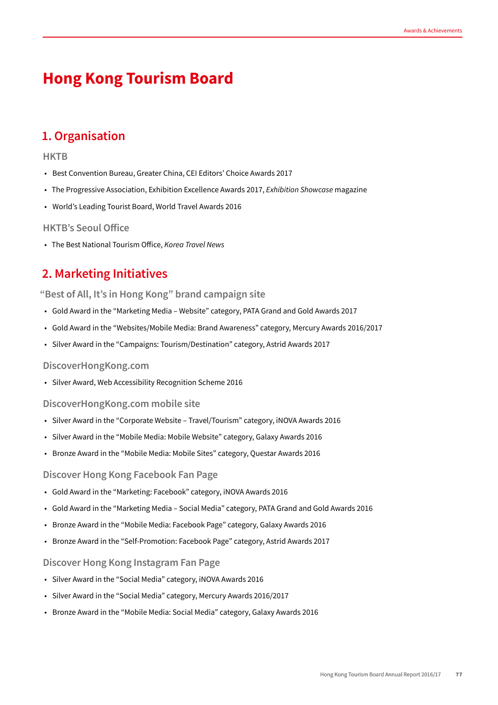# **Hong Kong Tourism Board**

# **1. Organisation**

#### **HKTB**

- Best Convention Bureau, Greater China, CEI Editors' Choice Awards 2017
- The Progressive Association, Exhibition Excellence Awards 2017, *Exhibition Showcase* magazine
- World's Leading Tourist Board, World Travel Awards 2016

### **HKTB's Seoul Office**

• The Best National Tourism Office, *Korea Travel News*

## **2. Marketing Initiatives**

### **"Best of All, It's in Hong Kong" brand campaign site**

- Gold Award in the "Marketing Media Website" category, PATA Grand and Gold Awards 2017
- Gold Award in the "Websites/Mobile Media: Brand Awareness" category, Mercury Awards 2016/2017
- Silver Award in the "Campaigns: Tourism/Destination" category, Astrid Awards 2017

#### **DiscoverHongKong.com**

• Silver Award, Web Accessibility Recognition Scheme 2016

#### **DiscoverHongKong.com mobile site**

- Silver Award in the "Corporate Website Travel/Tourism" category, iNOVA Awards 2016
- Silver Award in the "Mobile Media: Mobile Website" category, Galaxy Awards 2016
- Bronze Award in the "Mobile Media: Mobile Sites" category, Questar Awards 2016

#### **Discover Hong Kong Facebook Fan Page**

- Gold Award in the "Marketing: Facebook" category, iNOVA Awards 2016
- Gold Award in the "Marketing Media Social Media" category, PATA Grand and Gold Awards 2016
- Bronze Award in the "Mobile Media: Facebook Page" category, Galaxy Awards 2016
- Bronze Award in the "Self-Promotion: Facebook Page" category, Astrid Awards 2017

#### **Discover Hong Kong Instagram Fan Page**

- Silver Award in the "Social Media" category, iNOVA Awards 2016
- Silver Award in the "Social Media" category, Mercury Awards 2016/2017
- Bronze Award in the "Mobile Media: Social Media" category, Galaxy Awards 2016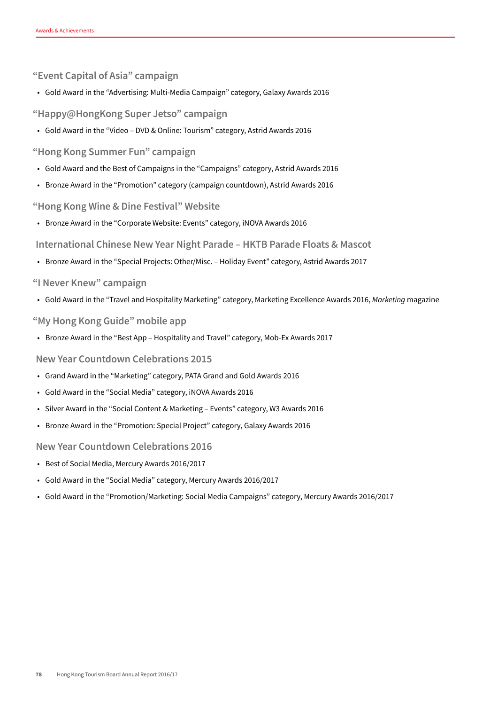## **"Event Capital of Asia" campaign**

- Gold Award in the "Advertising: Multi-Media Campaign" category, Galaxy Awards 2016
- **"Happy@HongKong Super Jetso" campaign**
- Gold Award in the "Video DVD & Online: Tourism" category, Astrid Awards 2016
- **"Hong Kong Summer Fun" campaign**
- Gold Award and the Best of Campaigns in the "Campaigns" category, Astrid Awards 2016
- Bronze Award in the "Promotion" category (campaign countdown), Astrid Awards 2016
- **"Hong Kong Wine & Dine Festival" Website**
- Bronze Award in the "Corporate Website: Events" category, iNOVA Awards 2016

**International Chinese New Year Night Parade – HKTB Parade Floats & Mascot**

- Bronze Award in the "Special Projects: Other/Misc. Holiday Event" category, Astrid Awards 2017
- **"I Never Knew" campaign**
- Gold Award in the "Travel and Hospitality Marketing" category, Marketing Excellence Awards 2016, *Marketing* magazine
- **"My Hong Kong Guide" mobile app**
- Bronze Award in the "Best App Hospitality and Travel" category, Mob-Ex Awards 2017

### **New Year Countdown Celebrations 2015**

- Grand Award in the "Marketing" category, PATA Grand and Gold Awards 2016
- Gold Award in the "Social Media" category, iNOVA Awards 2016
- Silver Award in the "Social Content & Marketing Events" category, W3 Awards 2016
- Bronze Award in the "Promotion: Special Project" category, Galaxy Awards 2016

**New Year Countdown Celebrations 2016**

- Best of Social Media, Mercury Awards 2016/2017
- Gold Award in the "Social Media" category, Mercury Awards 2016/2017
- Gold Award in the "Promotion/Marketing: Social Media Campaigns" category, Mercury Awards 2016/2017